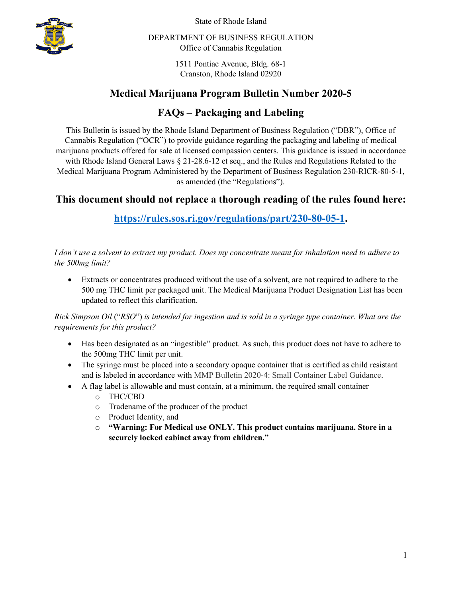

State of Rhode Island

DEPARTMENT OF BUSINESS REGULATION Office of Cannabis Regulation

> 1511 Pontiac Avenue, Bldg. 68-1 Cranston, Rhode Island 02920

## **Medical Marijuana Program Bulletin Number 2020-5**

# **FAQs – Packaging and Labeling**

This Bulletin is issued by the Rhode Island Department of Business Regulation ("DBR"), Office of Cannabis Regulation ("OCR") to provide guidance regarding the packaging and labeling of medical marijuana products offered for sale at licensed compassion centers. This guidance is issued in accordance with Rhode Island General Laws § 21-28.6-12 et seq., and the Rules and Regulations Related to the Medical Marijuana Program Administered by the Department of Business Regulation 230-RICR-80-5-1, as amended (the "Regulations").

## **This document should not replace a thorough reading of the rules found here:**

**[https://rules.sos.ri.gov/regulations/part/230-80-05-1.](https://rules.sos.ri.gov/regulations/part/230-80-05-1)**

*I don't use a solvent to extract my product. Does my concentrate meant for inhalation need to adhere to the 500mg limit?*

• Extracts or concentrates produced without the use of a solvent, are not required to adhere to the 500 mg THC limit per packaged unit. The Medical Marijuana Product Designation List has been updated to reflect this clarification.

*Rick Simpson Oil* ("*RSO*") *is intended for ingestion and is sold in a syringe type container. What are the requirements for this product?*

- Has been designated as an "ingestible" product. As such, this product does not have to adhere to the 500mg THC limit per unit.
- The syringe must be placed into a secondary opaque container that is certified as child resistant and is labeled in accordance with MMP Bulletin 2020-4: Small Container Label [Guidance.](https://dbr.ri.gov/documents/news/medical_marijuana/2020-4_Small_Container_Label_Guidance.pdf)
- A flag label is allowable and must contain, at a minimum, the required small container
	- o THC/CBD
	- o Tradename of the producer of the product
	- o Product Identity, and
	- o **"Warning: For Medical use ONLY. This product contains marijuana. Store in a securely locked cabinet away from children."**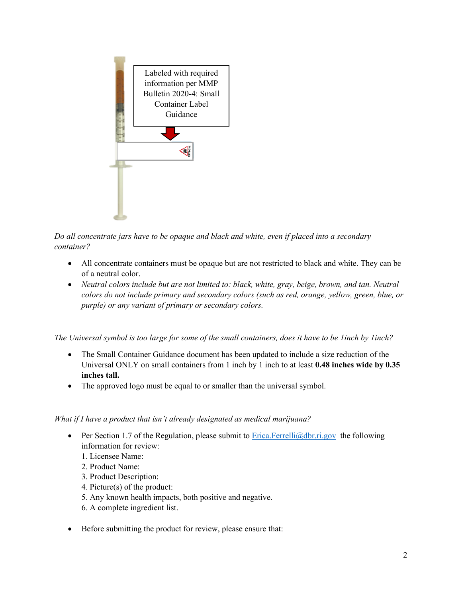

*Do all concentrate jars have to be opaque and black and white, even if placed into a secondary container?*

- All concentrate containers must be opaque but are not restricted to black and white. They can be of a neutral color.
- *Neutral colors include but are not limited to: black, white, gray, beige, brown, and tan. Neutral colors do not include primary and secondary colors (such as red, orange, yellow, green, blue, or purple) or any variant of primary or secondary colors.*

*The Universal symbol is too large for some of the small containers, does it have to be 1inch by 1inch?*

- The Small Container Guidance document has been updated to include a size reduction of the Universal ONLY on small containers from 1 inch by 1 inch to at least **0.48 inches wide by 0.35 inches tall.**
- The approved logo must be equal to or smaller than the universal symbol.

#### *What if I have a product that isn't already designated as medical marijuana?*

- Per Section 1.7 of the Regulation, please submit to  $E$ rica. Ferrelli $@d$ br. ri. gov the following information for review:
	- 1. Licensee Name:
	- 2. Product Name:
	- 3. Product Description:
	- 4. Picture(s) of the product:
	- 5. Any known health impacts, both positive and negative.
	- 6. A complete ingredient list.
- Before submitting the product for review, please ensure that: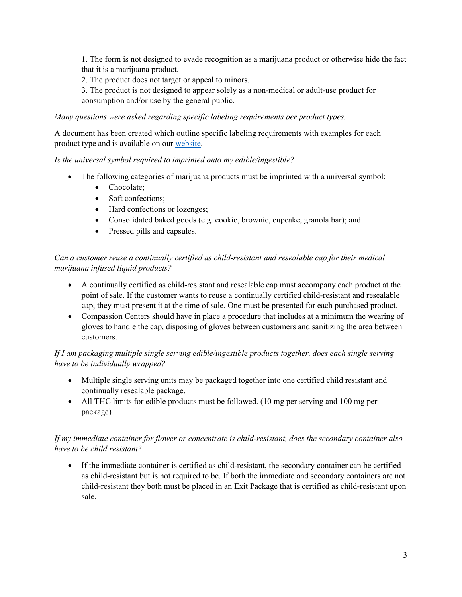1. The form is not designed to evade recognition as a marijuana product or otherwise hide the fact that it is a marijuana product.

2. The product does not target or appeal to minors.

3. The product is not designed to appear solely as a non-medical or adult-use product for consumption and/or use by the general public.

*Many questions were asked regarding specific labeling requirements per product types.* 

A document has been created which outline specific labeling requirements with examples for each product type and is available on our [website.](https://dbr.ri.gov/divisions/medicalmarijuana/)

*Is the universal symbol required to imprinted onto my edible/ingestible?* 

- The following categories of marijuana products must be imprinted with a universal symbol:
	- Chocolate:
	- Soft confections;
	- Hard confections or lozenges;
	- Consolidated baked goods (e.g. cookie, brownie, cupcake, granola bar); and
	- Pressed pills and capsules.

#### *Can a customer reuse a continually certified as child-resistant and resealable cap for their medical marijuana infused liquid products?*

- A continually certified as child-resistant and resealable cap must accompany each product at the point of sale. If the customer wants to reuse a continually certified child-resistant and resealable cap, they must present it at the time of sale. One must be presented for each purchased product.
- Compassion Centers should have in place a procedure that includes at a minimum the wearing of gloves to handle the cap, disposing of gloves between customers and sanitizing the area between customers.

#### *If I am packaging multiple single serving edible/ingestible products together, does each single serving have to be individually wrapped?*

- Multiple single serving units may be packaged together into one certified child resistant and continually resealable package.
- All THC limits for edible products must be followed. (10 mg per serving and 100 mg per package)

### *If my immediate container for flower or concentrate is child-resistant, does the secondary container also have to be child resistant?*

• If the immediate container is certified as child-resistant, the secondary container can be certified as child-resistant but is not required to be. If both the immediate and secondary containers are not child-resistant they both must be placed in an Exit Package that is certified as child-resistant upon sale.